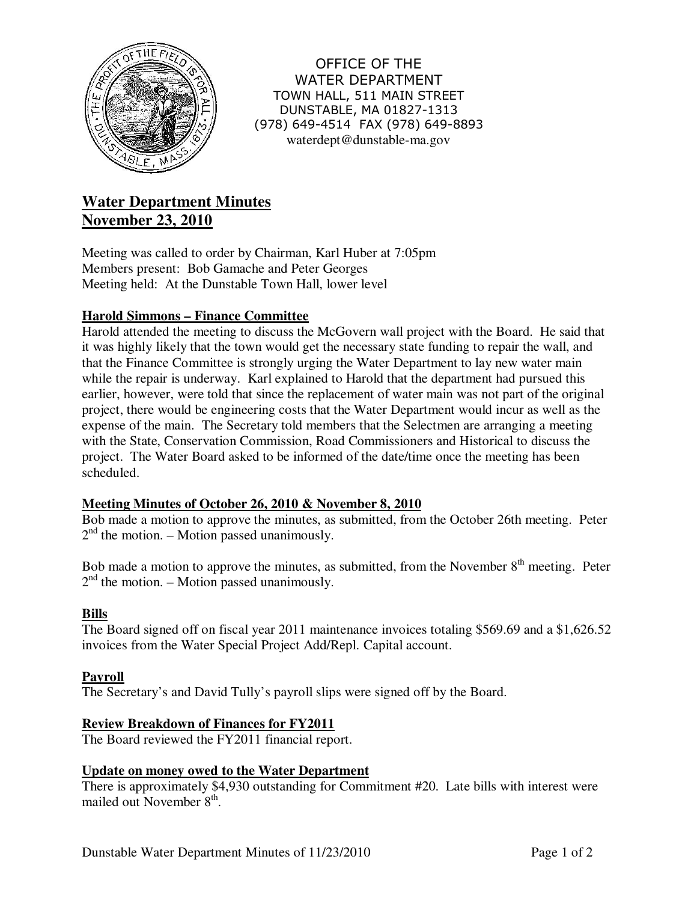

OFFICE OF THE WATER DEPARTMENT TOWN HALL, 511 MAIN STREET DUNSTABLE, MA 01827-1313 (978) 649-4514 FAX (978) 649-8893 waterdept@dunstable-ma.gov

# **Water Department Minutes November 23, 2010**

Meeting was called to order by Chairman, Karl Huber at 7:05pm Members present: Bob Gamache and Peter Georges Meeting held: At the Dunstable Town Hall, lower level

## **Harold Simmons – Finance Committee**

Harold attended the meeting to discuss the McGovern wall project with the Board. He said that it was highly likely that the town would get the necessary state funding to repair the wall, and that the Finance Committee is strongly urging the Water Department to lay new water main while the repair is underway. Karl explained to Harold that the department had pursued this earlier, however, were told that since the replacement of water main was not part of the original project, there would be engineering costs that the Water Department would incur as well as the expense of the main. The Secretary told members that the Selectmen are arranging a meeting with the State, Conservation Commission, Road Commissioners and Historical to discuss the project. The Water Board asked to be informed of the date/time once the meeting has been scheduled.

## **Meeting Minutes of October 26, 2010 & November 8, 2010**

Bob made a motion to approve the minutes, as submitted, from the October 26th meeting. Peter  $2<sup>nd</sup>$  the motion. – Motion passed unanimously.

Bob made a motion to approve the minutes, as submitted, from the November 8<sup>th</sup> meeting. Peter  $2<sup>nd</sup>$  the motion. – Motion passed unanimously.

#### **Bills**

The Board signed off on fiscal year 2011 maintenance invoices totaling \$569.69 and a \$1,626.52 invoices from the Water Special Project Add/Repl. Capital account.

#### **Payroll**

The Secretary's and David Tully's payroll slips were signed off by the Board.

#### **Review Breakdown of Finances for FY2011**

The Board reviewed the FY2011 financial report.

#### **Update on money owed to the Water Department**

There is approximately \$4,930 outstanding for Commitment #20. Late bills with interest were mailed out November 8<sup>th</sup>.